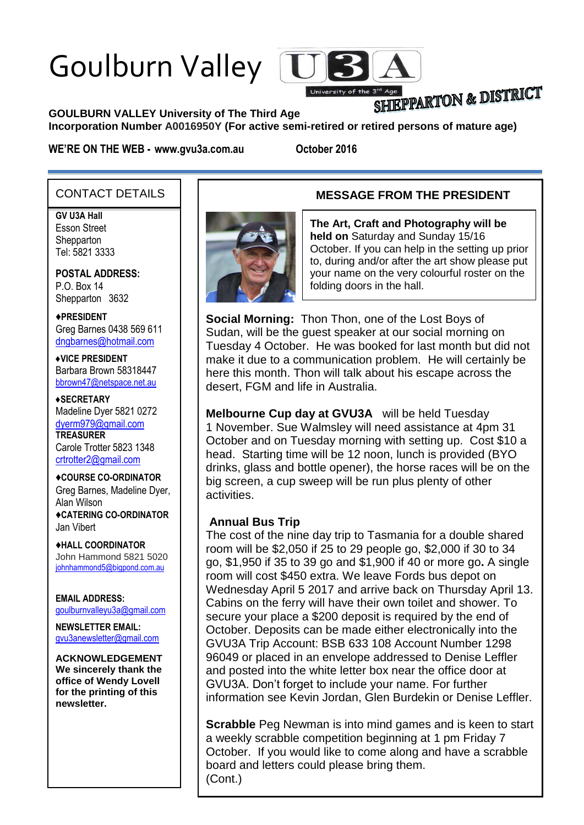# Goulburn Valley



# SHIEPPARTON & DISTRICT

**GOULBURN VALLEY University of The Third Age** 

**Incorporation Number A0016950Y (For active semi-retired or retired persons of mature age)**

**WE'RE ON THE WEB - www.gvu3a.com.au October 2016**

#### CONTACT DETAILS

**GV U3A Hall**

Esson Street **Shepparton** Tel: 5821 3333

**POSTAL ADDRESS:** P.O. Box 14 Shepparton 3632

♦**PRESIDENT** Greg Barnes 0438 569 611 [dngbarnes@hotmail.com](mailto:dngbarnes@hotmail.com)

♦**VICE PRESIDENT** Barbara Brown 58318447 [bbrown47@netspace.net.au](mailto:bbrown47@netspace.net.au)

♦**SECRETARY** Madeline Dyer 5821 0272 [dyerm979@gmail.com](mailto:dyerm979@gmail.com) **TREASURER** Carole Trotter 5823 1348 crtrotter2@gmail.com

♦**COURSE CO-ORDINATOR** Greg Barnes, Madeline Dyer, Alan Wilson ♦**CATERING CO-ORDINATOR** Jan Vibert

♦**HALL COORDINATOR** John Hammond 5821 5020 [johnhammond5@bigpond.com.au](mailto:johnhammond5@bigpond.com.au)

**EMAIL ADDRESS:** [goulburnvalleyu3a@gmail.com](mailto:goulburnvalleyu3a@gmail.com)

**NEWSLETTER EMAIL:** [gvu3anewsletter@gmail.com](mailto:gvu3anewsletter@gmail.com)

**ACKNOWLEDGEMENT We sincerely thank the office of Wendy Lovell for the printing of this newsletter.**



#### **MESSAGE FROM THE PRESIDENT**

**The Art, Craft and Photography will be held on** Saturday and Sunday 15/16 October. If you can help in the setting up prior to, during and/or after the art show please put your name on the very colourful roster on the folding doors in the hall.

**Social Morning:** Thon Thon, one of the Lost Boys of Sudan, will be the guest speaker at our social morning on Tuesday 4 October. He was booked for last month but did not make it due to a communication problem. He will certainly be here this month. Thon will talk about his escape across the desert, FGM and life in Australia.

**Melbourne Cup day at GVU3A** will be held Tuesday 1 November. Sue Walmsley will need assistance at 4pm 31 October and on Tuesday morning with setting up. Cost \$10 a head. Starting time will be 12 noon, lunch is provided (BYO drinks, glass and bottle opener), the horse races will be on the big screen, a cup sweep will be run plus plenty of other activities.

#### **Annual Bus Trip**

The cost of the nine day trip to Tasmania for a double shared room will be \$2,050 if 25 to 29 people go, \$2,000 if 30 to 34 go, \$1,950 if 35 to 39 go and \$1,900 if 40 or more go**.** A single room will cost \$450 extra. We leave Fords bus depot on Wednesday April 5 2017 and arrive back on Thursday April 13. Cabins on the ferry will have their own toilet and shower. To secure your place a \$200 deposit is required by the end of October. Deposits can be made either electronically into the GVU3A Trip Account: BSB 633 108 Account Number 1298 96049 or placed in an envelope addressed to Denise Leffler and posted into the white letter box near the office door at GVU3A. Don't forget to include your name. For further information see Kevin Jordan, Glen Burdekin or Denise Leffler.

**Scrabble** Peg Newman is into mind games and is keen to start a weekly scrabble competition beginning at 1 pm Friday 7 October. If you would like to come along and have a scrabble board and letters could please bring them. (Cont.)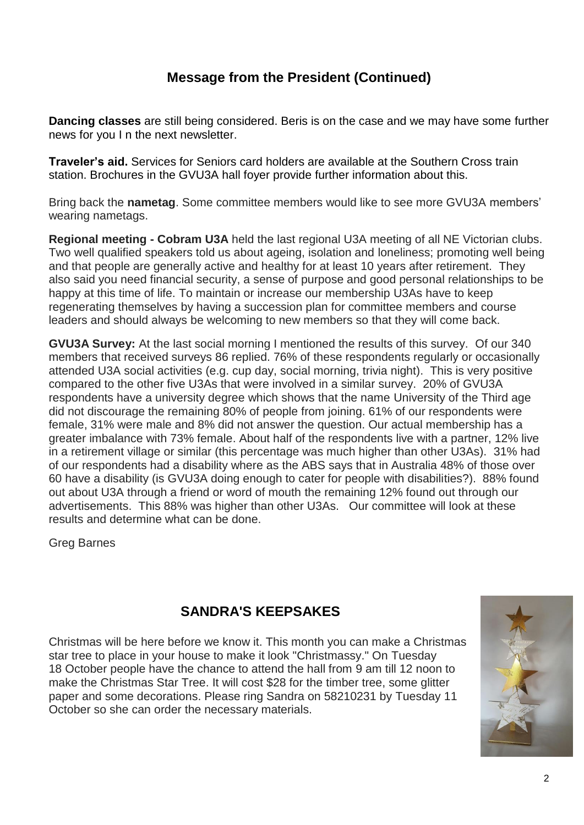# **Message from the President (Continued)**

**Dancing classes** are still being considered. Beris is on the case and we may have some further news for you I n the next newsletter.

**Traveler's aid.** Services for Seniors card holders are available at the Southern Cross train station. Brochures in the GVU3A hall foyer provide further information about this.

Bring back the **nametag**. Some committee members would like to see more GVU3A members' wearing nametags.

**Regional meeting - Cobram U3A** held the last regional U3A meeting of all NE Victorian clubs. Two well qualified speakers told us about ageing, isolation and loneliness; promoting well being and that people are generally active and healthy for at least 10 years after retirement. They also said you need financial security, a sense of purpose and good personal relationships to be happy at this time of life. To maintain or increase our membership U3As have to keep regenerating themselves by having a succession plan for committee members and course leaders and should always be welcoming to new members so that they will come back.

**GVU3A Survey:** At the last social morning I mentioned the results of this survey. Of our 340 members that received surveys 86 replied. 76% of these respondents regularly or occasionally attended U3A social activities (e.g. cup day, social morning, trivia night). This is very positive compared to the other five U3As that were involved in a similar survey. 20% of GVU3A respondents have a university degree which shows that the name University of the Third age did not discourage the remaining 80% of people from joining. 61% of our respondents were female, 31% were male and 8% did not answer the question. Our actual membership has a greater imbalance with 73% female. About half of the respondents live with a partner, 12% live in a retirement village or similar (this percentage was much higher than other U3As). 31% had of our respondents had a disability where as the ABS says that in Australia 48% of those over 60 have a disability (is GVU3A doing enough to cater for people with disabilities?). 88% found out about U3A through a friend or word of mouth the remaining 12% found out through our advertisements. This 88% was higher than other U3As. Our committee will look at these results and determine what can be done.

Greg Barnes

# **SANDRA'S KEEPSAKES**

Christmas will be here before we know it. This month you can make a Christmas star tree to place in your house to make it look "Christmassy." On Tuesday 18 October people have the chance to attend the hall from 9 am till 12 noon to make the Christmas Star Tree. It will cost \$28 for the timber tree, some glitter paper and some decorations. Please ring Sandra on 58210231 by Tuesday 11 October so she can order the necessary materials.

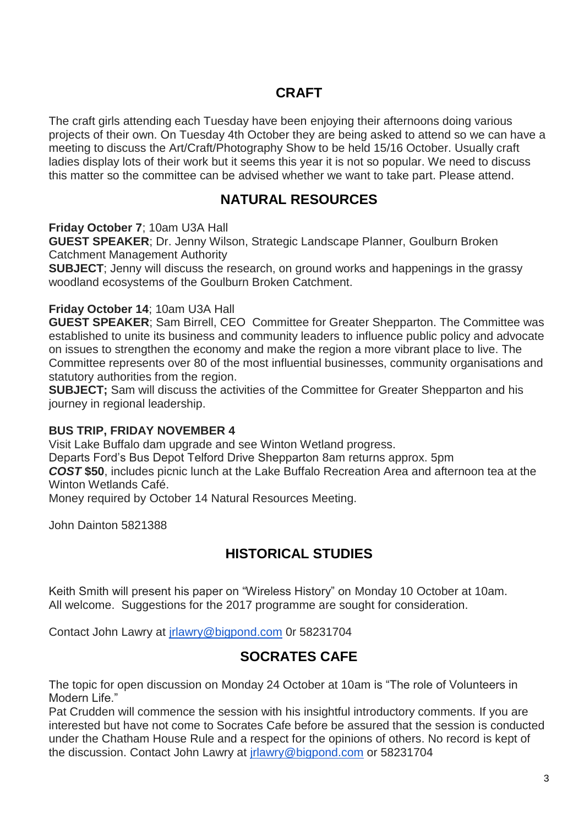## **CRAFT**

The craft girls attending each Tuesday have been enjoying their afternoons doing various projects of their own. On Tuesday 4th October they are being asked to attend so we can have a meeting to discuss the Art/Craft/Photography Show to be held 15/16 October. Usually craft ladies display lots of their work but it seems this year it is not so popular. We need to discuss this matter so the committee can be advised whether we want to take part. Please attend.

## **NATURAL RESOURCES**

**Friday October 7**; 10am U3A Hall

**GUEST SPEAKER**; Dr. Jenny Wilson, Strategic Landscape Planner, Goulburn Broken Catchment Management Authority

**SUBJECT**; Jenny will discuss the research, on ground works and happenings in the grassy woodland ecosystems of the Goulburn Broken Catchment.

#### **Friday October 14**; 10am U3A Hall

**GUEST SPEAKER**; Sam Birrell, CEO Committee for Greater Shepparton. The Committee was established to unite its business and community leaders to influence public policy and advocate on issues to strengthen the economy and make the region a more vibrant place to live. The Committee represents over 80 of the most influential businesses, community organisations and statutory authorities from the region.

**SUBJECT;** Sam will discuss the activities of the Committee for Greater Shepparton and his journey in regional leadership.

#### **BUS TRIP, FRIDAY NOVEMBER 4**

Visit Lake Buffalo dam upgrade and see Winton Wetland progress.

Departs Ford's Bus Depot Telford Drive Shepparton 8am returns approx. 5pm

*COST* **\$50**, includes picnic lunch at the Lake Buffalo Recreation Area and afternoon tea at the Winton Wetlands Café.

Money required by October 14 Natural Resources Meeting.

John Dainton 5821388

# **HISTORICAL STUDIES**

Keith Smith will present his paper on "Wireless History" on Monday 10 October at 10am. All welcome. Suggestions for the 2017 programme are sought for consideration.

Contact John Lawry at [jrlawry@bigpond.com](mailto:jrlawry@bigpond.com) 0r 58231704

# **SOCRATES CAFE**

The topic for open discussion on Monday 24 October at 10am is "The role of Volunteers in Modern Life."

Pat Crudden will commence the session with his insightful introductory comments. If you are interested but have not come to Socrates Cafe before be assured that the session is conducted under the Chatham House Rule and a respect for the opinions of others. No record is kept of the discussion. Contact John Lawry at [jrlawry@bigpond.com](mailto:jrlawry@bigpond.com) or 58231704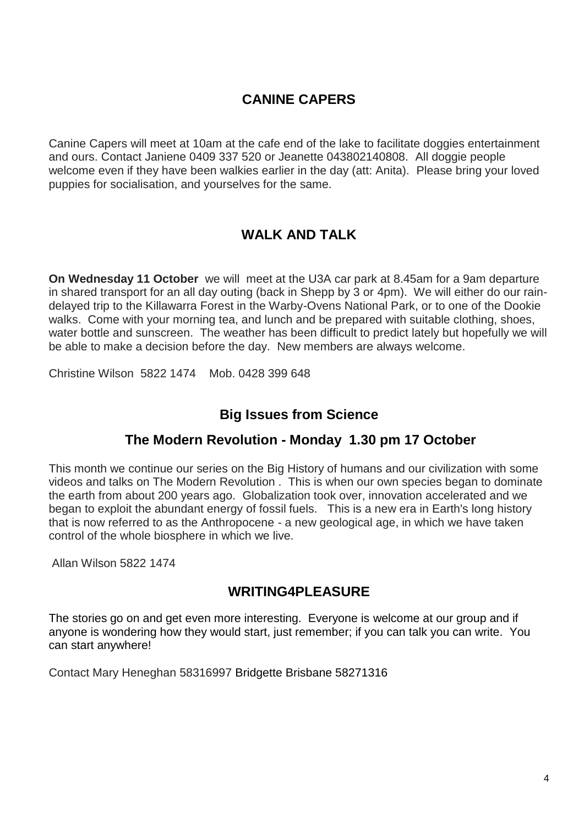# **CANINE CAPERS**

Canine Capers will meet at 10am at the cafe end of the lake to facilitate doggies entertainment and ours. Contact Janiene 0409 337 520 or Jeanette 043802140808. All doggie people welcome even if they have been walkies earlier in the day (att: Anita). Please bring your loved puppies for socialisation, and yourselves for the same.

# **WALK AND TALK**

**On Wednesday 11 October** we will meet at the U3A car park at 8.45am for a 9am departure in shared transport for an all day outing (back in Shepp by 3 or 4pm). We will either do our raindelayed trip to the Killawarra Forest in the Warby-Ovens National Park, or to one of the Dookie walks. Come with your morning tea, and lunch and be prepared with suitable clothing, shoes, water bottle and sunscreen. The weather has been difficult to predict lately but hopefully we will be able to make a decision before the day. New members are always welcome.

Christine Wilson 5822 1474 Mob. 0428 399 648

#### **Big Issues from Science**

#### **The Modern Revolution - Monday 1.30 pm 17 October**

This month we continue our series on the Big History of humans and our civilization with some videos and talks on The Modern Revolution . This is when our own species began to dominate the earth from about 200 years ago. Globalization took over, innovation accelerated and we began to exploit the abundant energy of fossil fuels. This is a new era in Earth's long history that is now referred to as the Anthropocene - a new geological age, in which we have taken control of the whole biosphere in which we live.

Allan Wilson 5822 1474

#### **WRITING4PLEASURE**

The stories go on and get even more interesting. Everyone is welcome at our group and if anyone is wondering how they would start, just remember; if you can talk you can write. You can start anywhere!

Contact Mary Heneghan 58316997 Bridgette Brisbane 58271316